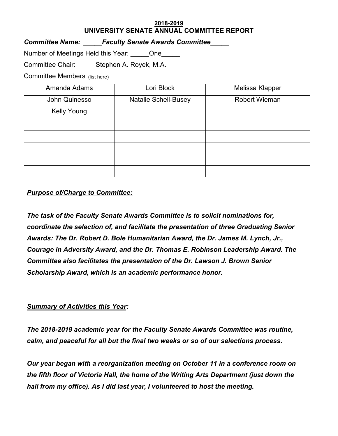## **2018-2019 UNIVERSITY SENATE ANNUAL COMMITTEE REPORT**

*Committee Name: \_\_\_\_\_Faculty Senate Awards Committee\_\_\_\_\_* 

Number of Meetings Held this Year: \_\_\_\_\_One\_\_\_\_\_

Committee Chair: Stephen A. Royek, M.A.

Committee Members: (list here)

| Amanda Adams       | Lori Block                  | Melissa Klapper      |
|--------------------|-----------------------------|----------------------|
| John Quinesso      | <b>Natalie Schell-Busey</b> | <b>Robert Wieman</b> |
| <b>Kelly Young</b> |                             |                      |
|                    |                             |                      |
|                    |                             |                      |
|                    |                             |                      |
|                    |                             |                      |
|                    |                             |                      |

## *Purpose of/Charge to Committee:*

*The task of the Faculty Senate Awards Committee is to solicit nominations for, coordinate the selection of, and facilitate the presentation of three Graduating Senior Awards: The Dr. Robert D. Bole Humanitarian Award, the Dr. James M. Lynch, Jr., Courage in Adversity Award, and the Dr. Thomas E. Robinson Leadership Award. The Committee also facilitates the presentation of the Dr. Lawson J. Brown Senior Scholarship Award, which is an academic performance honor.*

## *Summary of Activities this Year:*

*The 2018-2019 academic year for the Faculty Senate Awards Committee was routine, calm, and peaceful for all but the final two weeks or so of our selections process.*

*Our year began with a reorganization meeting on October 11 in a conference room on the fifth floor of Victoria Hall, the home of the Writing Arts Department (just down the hall from my office). As I did last year, I volunteered to host the meeting.*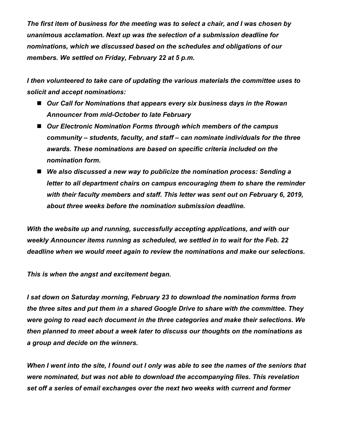*The first item of business for the meeting was to select a chair, and I was chosen by unanimous acclamation. Next up was the selection of a submission deadline for nominations, which we discussed based on the schedules and obligations of our members. We settled on Friday, February 22 at 5 p.m.*

*I then volunteered to take care of updating the various materials the committee uses to solicit and accept nominations:*

- Our Call for Nominations that appears every six business days in the Rowan *Announcer from mid-October to late February*
- Our Electronic Nomination Forms through which members of the campus *community – students, faculty, and staff – can nominate individuals for the three awards. These nominations are based on specific criteria included on the nomination form.*
- We also discussed a new way to publicize the nomination process: Sending a *letter to all department chairs on campus encouraging them to share the reminder with their faculty members and staff. This letter was sent out on February 6, 2019, about three weeks before the nomination submission deadline.*

*With the website up and running, successfully accepting applications, and with our weekly Announcer items running as scheduled, we settled in to wait for the Feb. 22 deadline when we would meet again to review the nominations and make our selections.*

*This is when the angst and excitement began.*

*I sat down on Saturday morning, February 23 to download the nomination forms from the three sites and put them in a shared Google Drive to share with the committee. They were going to read each document in the three categories and make their selections. We then planned to meet about a week later to discuss our thoughts on the nominations as a group and decide on the winners.*

*When I went into the site, I found out I only was able to see the names of the seniors that were nominated, but was not able to download the accompanying files. This revelation set off a series of email exchanges over the next two weeks with current and former*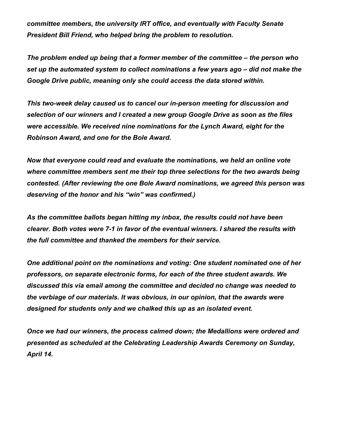*committee members, the university IRT office, and eventually with Faculty Senate President Bill Friend, who helped bring the problem to resolution.*

*The problem ended up being that a former member of the committee – the person who set up the automated system to collect nominations a few years ago – did not make the Google Drive public, meaning only she could access the data stored within.*

*This two-week delay caused us to cancel our in-person meeting for discussion and selection of our winners and I created a new group Google Drive as soon as the files were accessible. We received nine nominations for the Lynch Award, eight for the Robinson Award, and one for the Bole Award.*

*Now that everyone could read and evaluate the nominations, we held an online vote where committee members sent me their top three selections for the two awards being contested. (After reviewing the one Bole Award nominations, we agreed this person was deserving of the honor and his "win" was confirmed.)*

*As the committee ballots began hitting my inbox, the results could not have been clearer. Both votes were 7-1 in favor of the eventual winners. I shared the results with the full committee and thanked the members for their service.*

*One additional point on the nominations and voting: One student nominated one of her professors, on separate electronic forms, for each of the three student awards. We discussed this via email among the committee and decided no change was needed to the verbiage of our materials. It was obvious, in our opinion, that the awards were designed for students only and we chalked this up as an isolated event.*

*Once we had our winners, the process calmed down; the Medallions were ordered and presented as scheduled at the Celebrating Leadership Awards Ceremony on Sunday, April 14.*